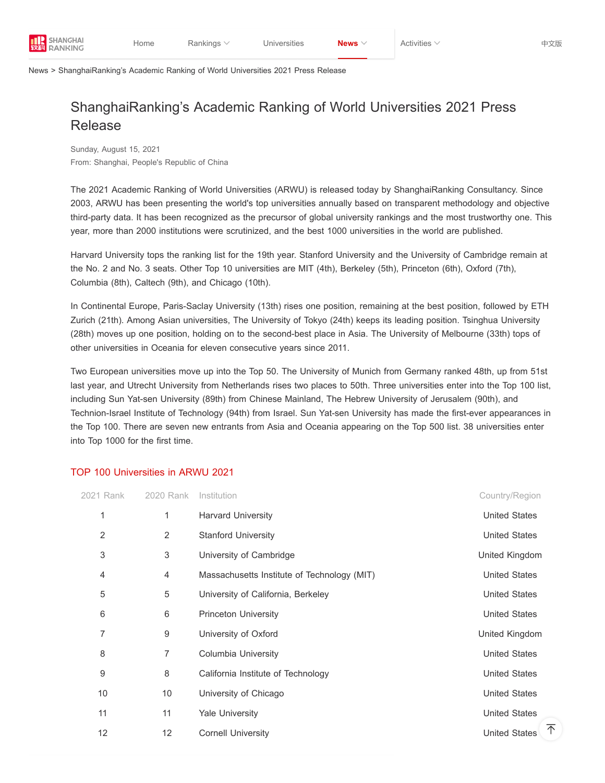

[News](https://www.shanghairanking.com/news) > ShanghaiRanking's Academic Ranking of World Universities 2021 Press Release

## ShanghaiRanking's Academic Ranking of World Universities 2021 Press Release

Sunday, August 15, 2021 From: Shanghai, People's Republic of China

The 2021 Academic Ranking of World Universities (ARWU) is released today by ShanghaiRanking Consultancy. Since 2003, ARWU has been presenting the world's top universities annually based on transparent methodology and objective third-party data. It has been recognized as the precursor of global university rankings and the most trustworthy one. This year, more than 2000 institutions were scrutinized, and the best 1000 universities in the world are published.

Harvard University tops the ranking list for the 19th year. Stanford University and the University of Cambridge remain at the No. 2 and No. 3 seats. Other Top 10 universities are MIT (4th), Berkeley (5th), Princeton (6th), Oxford (7th), Columbia (8th), Caltech (9th), and Chicago (10th).

In Continental Europe, Paris-Saclay University (13th) rises one position, remaining at the best position, followed by ETH Zurich (21th). Among Asian universities, The University of Tokyo (24th) keeps its leading position. Tsinghua University (28th) moves up one position, holding on to the second-best place in Asia. The University of Melbourne (33th) tops of other universities in Oceania for eleven consecutive years since 2011.

Two European universities move up into the Top 50. The University of Munich from Germany ranked 48th, up from 51st last year, and Utrecht University from Netherlands rises two places to 50th. Three universities enter into the Top 100 list, including Sun Yat-sen University (89th) from Chinese Mainland, The Hebrew University of Jerusalem (90th), and Technion-Israel Institute of Technology (94th) from Israel. Sun Yat-sen University has made the first-ever appearances in the Top 100. There are seven new entrants from Asia and Oceania appearing on the Top 500 list. 38 universities enter into Top 1000 for the first time.

## TOP 100 Universities in ARWU 2021

| 2021 Rank | 2020 Rank      | Institution                                 | Country/Region            |
|-----------|----------------|---------------------------------------------|---------------------------|
| 1         | 1              | <b>Harvard University</b>                   | <b>United States</b>      |
| 2         | 2              | <b>Stanford University</b>                  | <b>United States</b>      |
| 3         | 3              | University of Cambridge                     | United Kingdom            |
| 4         | $\overline{4}$ | Massachusetts Institute of Technology (MIT) | <b>United States</b>      |
| 5         | 5              | University of California, Berkeley          | <b>United States</b>      |
| 6         | 6              | Princeton University                        | <b>United States</b>      |
| 7         | 9              | University of Oxford                        | United Kingdom            |
| 8         | 7              | <b>Columbia University</b>                  | <b>United States</b>      |
| 9         | $\,8\,$        | California Institute of Technology          | <b>United States</b>      |
| 10        | 10             | University of Chicago                       | <b>United States</b>      |
| 11        | 11             | <b>Yale University</b>                      | <b>United States</b>      |
| 12        | 12             | <b>Cornell University</b>                   | 不<br><b>United States</b> |
|           |                |                                             |                           |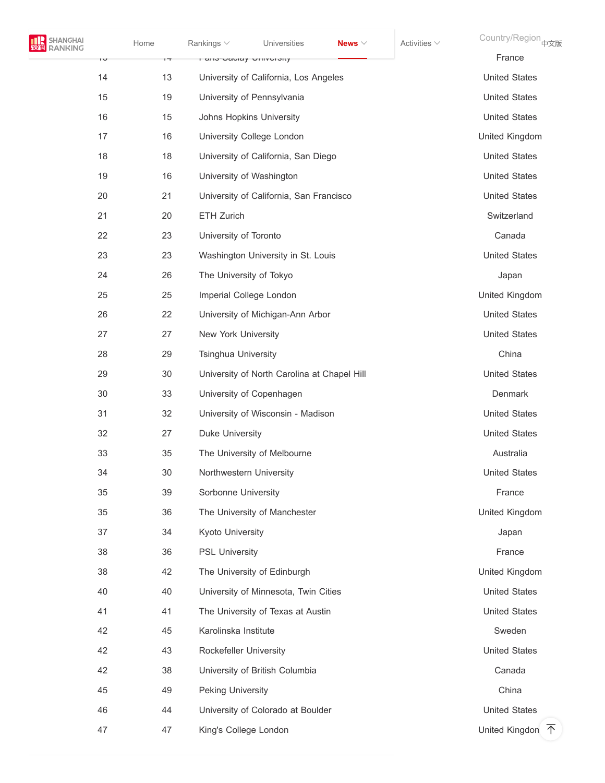| NGHAI<br><b>IKING</b> | Home | Rankings $\vee$            | Universities                                | News $\vee$ | Activities $\vee$ | Country/Region 中文版                   |
|-----------------------|------|----------------------------|---------------------------------------------|-------------|-------------------|--------------------------------------|
| ΙU                    | ı٣   | ι απο-σανιαγ υπιντιοιιγ    |                                             |             |                   | France                               |
| 14                    | 13   |                            | University of California, Los Angeles       |             |                   | <b>United States</b>                 |
| 15                    | 19   |                            | University of Pennsylvania                  |             |                   | <b>United States</b>                 |
| 16                    | 15   |                            | Johns Hopkins University                    |             |                   | <b>United States</b>                 |
| 17                    | 16   |                            | University College London                   |             |                   | United Kingdom                       |
| 18                    | 18   |                            | University of California, San Diego         |             |                   | <b>United States</b>                 |
| 19                    | 16   |                            | University of Washington                    |             |                   | <b>United States</b>                 |
| 20                    | 21   |                            | University of California, San Francisco     |             |                   | <b>United States</b>                 |
| 21                    | 20   | ETH Zurich                 |                                             |             |                   | Switzerland                          |
| 22                    | 23   | University of Toronto      |                                             |             |                   | Canada                               |
| 23                    | 23   |                            | Washington University in St. Louis          |             |                   | <b>United States</b>                 |
| 24                    | 26   | The University of Tokyo    |                                             |             |                   | Japan                                |
| 25                    | 25   |                            | Imperial College London                     |             |                   | United Kingdom                       |
| 26                    | 22   |                            | University of Michigan-Ann Arbor            |             |                   | <b>United States</b>                 |
| 27                    | 27   | New York University        |                                             |             |                   | <b>United States</b>                 |
| 28                    | 29   | <b>Tsinghua University</b> |                                             |             |                   | China                                |
| 29                    | 30   |                            | University of North Carolina at Chapel Hill |             |                   | <b>United States</b>                 |
| 30                    | 33   |                            | University of Copenhagen                    |             |                   | Denmark                              |
| 31                    | 32   |                            | University of Wisconsin - Madison           |             |                   | <b>United States</b>                 |
| 32                    | 27   | <b>Duke University</b>     |                                             |             |                   | <b>United States</b>                 |
| 33                    | 35   |                            | The University of Melbourne                 |             |                   | Australia                            |
| 34                    | 30   | Northwestern University    |                                             |             |                   | <b>United States</b>                 |
| 35                    | 39   | Sorbonne University        |                                             |             |                   | France                               |
| 35                    | 36   |                            | The University of Manchester                |             |                   | United Kingdom                       |
| 37                    | 34   | Kyoto University           |                                             |             |                   | Japan                                |
| 38                    | 36   | <b>PSL University</b>      |                                             |             |                   | France                               |
| 38                    | 42   |                            | The University of Edinburgh                 |             |                   | United Kingdom                       |
| 40                    | 40   |                            | University of Minnesota, Twin Cities        |             |                   | <b>United States</b>                 |
| 41                    | 41   |                            | The University of Texas at Austin           |             |                   | <b>United States</b>                 |
| 42                    | 45   | Karolinska Institute       |                                             |             |                   | Sweden                               |
| 42                    | 43   | Rockefeller University     |                                             |             |                   | <b>United States</b>                 |
| 42                    | 38   |                            | University of British Columbia              |             |                   | Canada                               |
| 45                    | 49   | Peking University          |                                             |             |                   | China                                |
| 46                    | 44   |                            | University of Colorado at Boulder           |             |                   | <b>United States</b>                 |
| 47                    | 47   | King's College London      |                                             |             |                   | United Kingdon $\overline{\uparrow}$ |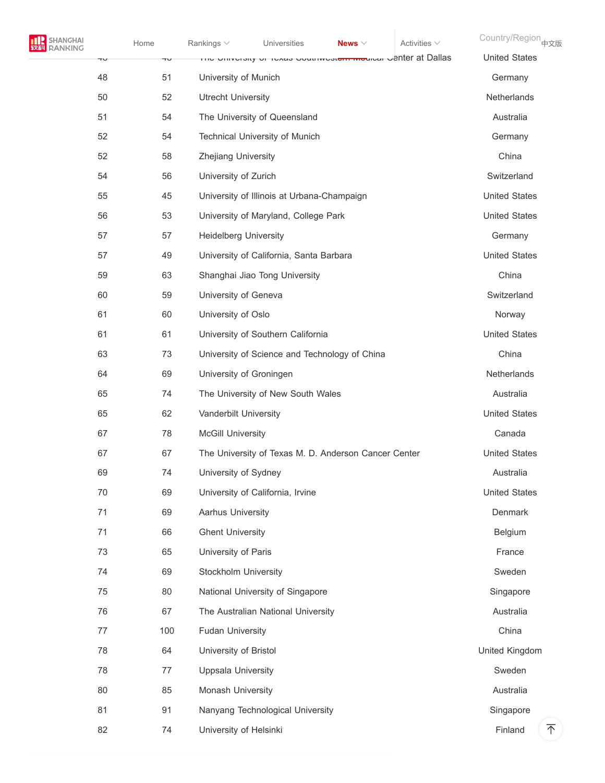| <b>TTL</b> SHANGHAI |
|---------------------|
| <b>EMEL RANKING</b> |

\_I [Home](https://www.shanghairanking.com/) Rankings  $\lor$  [Universities](https://www.shanghairanking.com/institution) **News**  $\lor$  Country/Region <sub>[中文版](https://www.shanghairanking.cn/)</sub>

| Ψ  | ЧU  | דווס טווועסוסיט וויסאס טעמוואסטכאפון וואס טאסון וואס טווועס טווויס וויזי | <b>United States</b> |
|----|-----|--------------------------------------------------------------------------|----------------------|
| 48 | 51  | University of Munich                                                     | Germany              |
| 50 | 52  | <b>Utrecht University</b>                                                | <b>Netherlands</b>   |
| 51 | 54  | The University of Queensland                                             | Australia            |
| 52 | 54  | Technical University of Munich                                           | Germany              |
| 52 | 58  | Zhejiang University                                                      | China                |
| 54 | 56  | University of Zurich                                                     | Switzerland          |
| 55 | 45  | University of Illinois at Urbana-Champaign                               | <b>United States</b> |
| 56 | 53  | University of Maryland, College Park                                     | <b>United States</b> |
| 57 | 57  | <b>Heidelberg University</b>                                             | Germany              |
| 57 | 49  | University of California, Santa Barbara                                  | <b>United States</b> |
| 59 | 63  | Shanghai Jiao Tong University                                            | China                |
| 60 | 59  | University of Geneva                                                     | Switzerland          |
| 61 | 60  | University of Oslo                                                       | Norway               |
| 61 | 61  | University of Southern California                                        | <b>United States</b> |
| 63 | 73  | University of Science and Technology of China                            | China                |
| 64 | 69  | University of Groningen                                                  | Netherlands          |
| 65 | 74  | The University of New South Wales                                        | Australia            |
| 65 | 62  | Vanderbilt University                                                    | <b>United States</b> |
| 67 | 78  | <b>McGill University</b>                                                 | Canada               |
| 67 | 67  | The University of Texas M. D. Anderson Cancer Center                     | <b>United States</b> |
| 69 | 74  | University of Sydney                                                     | Australia            |
| 70 | 69  | University of California, Irvine                                         | <b>United States</b> |
| 71 | 69  | Aarhus University                                                        | Denmark              |
| 71 | 66  | <b>Ghent University</b>                                                  | Belgium              |
| 73 | 65  | University of Paris                                                      | France               |
| 74 | 69  | Stockholm University                                                     | Sweden               |
| 75 | 80  | National University of Singapore                                         | Singapore            |
| 76 | 67  | The Australian National University                                       | Australia            |
| 77 | 100 | <b>Fudan University</b>                                                  | China                |
| 78 | 64  | University of Bristol                                                    | United Kingdom       |
| 78 | 77  | <b>Uppsala University</b>                                                | Sweden               |
| 80 | 85  | Monash University                                                        | Australia            |
| 81 | 91  | Nanyang Technological University                                         | Singapore            |
| 82 | 74  | University of Helsinki                                                   | 不<br>Finland         |
|    |     |                                                                          |                      |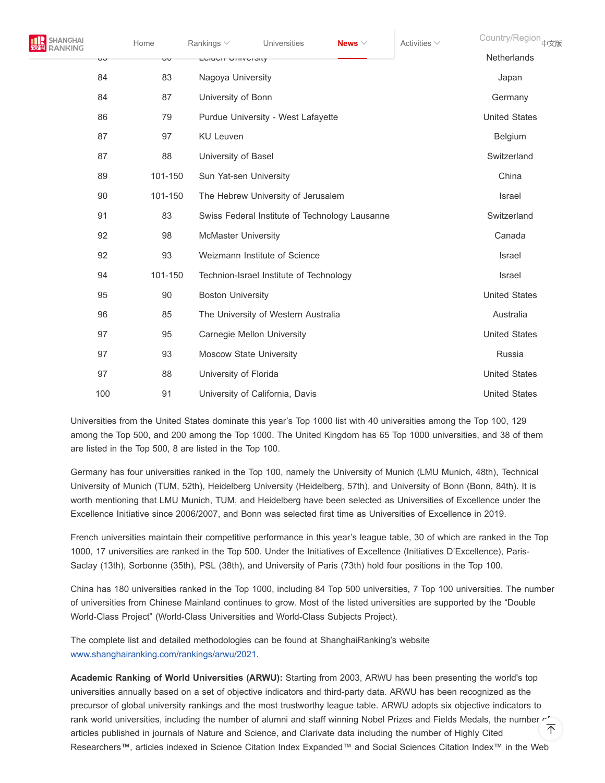| <b>SHANGHAI</b> |     | Home    | Rankings $\vee$            | Universities                            | News $\vee$                                    | Activities $\vee$ | Country/Region <sub>中文版</sub> |
|-----------------|-----|---------|----------------------------|-----------------------------------------|------------------------------------------------|-------------------|-------------------------------|
|                 | υU  | υU      | דיסוווע וואטוס             |                                         |                                                |                   | <b>Netherlands</b>            |
|                 | 84  | 83      | Nagoya University          |                                         |                                                |                   | Japan                         |
|                 | 84  | 87      | University of Bonn         |                                         |                                                |                   | Germany                       |
|                 | 86  | 79      |                            | Purdue University - West Lafayette      |                                                |                   | <b>United States</b>          |
|                 | 87  | 97      | <b>KU Leuven</b>           |                                         |                                                |                   | Belgium                       |
|                 | 87  | 88      | University of Basel        |                                         |                                                |                   | Switzerland                   |
|                 | 89  | 101-150 | Sun Yat-sen University     |                                         |                                                |                   | China                         |
|                 | 90  | 101-150 |                            | The Hebrew University of Jerusalem      |                                                |                   | Israel                        |
|                 | 91  | 83      |                            |                                         | Swiss Federal Institute of Technology Lausanne |                   | Switzerland                   |
|                 | 92  | 98      | <b>McMaster University</b> |                                         |                                                |                   | Canada                        |
|                 | 92  | 93      |                            | Weizmann Institute of Science           |                                                |                   | Israel                        |
|                 | 94  | 101-150 |                            | Technion-Israel Institute of Technology |                                                |                   | <b>Israel</b>                 |
|                 | 95  | 90      | <b>Boston University</b>   |                                         |                                                |                   | <b>United States</b>          |
|                 | 96  | 85      |                            | The University of Western Australia     |                                                |                   | Australia                     |
|                 | 97  | 95      |                            | Carnegie Mellon University              |                                                |                   | <b>United States</b>          |
|                 | 97  | 93      |                            | <b>Moscow State University</b>          |                                                |                   | Russia                        |
|                 | 97  | 88      | University of Florida      |                                         |                                                |                   | <b>United States</b>          |
|                 | 100 | 91      |                            | University of California, Davis         |                                                |                   | <b>United States</b>          |

Universities from the United States dominate this year's Top 1000 list with 40 universities among the Top 100, 129 among the Top 500, and 200 among the Top 1000. The United Kingdom has 65 Top 1000 universities, and 38 of them are listed in the Top 500, 8 are listed in the Top 100.

Germany has four universities ranked in the Top 100, namely the University of Munich (LMU Munich, 48th), Technical University of Munich (TUM, 52th), Heidelberg University (Heidelberg, 57th), and University of Bonn (Bonn, 84th). It is worth mentioning that LMU Munich, TUM, and Heidelberg have been selected as Universities of Excellence under the Excellence Initiative since 2006/2007, and Bonn was selected first time as Universities of Excellence in 2019.

French universities maintain their competitive performance in this year's league table, 30 of which are ranked in the Top 1000, 17 universities are ranked in the Top 500. Under the Initiatives of Excellence (Initiatives D'Excellence), Paris-Saclay (13th), Sorbonne (35th), PSL (38th), and University of Paris (73th) hold four positions in the Top 100.

China has 180 universities ranked in the Top 1000, including 84 Top 500 universities, 7 Top 100 universities. The number of universities from Chinese Mainland continues to grow. Most of the listed universities are supported by the "Double World-Class Project" (World-Class Universities and World-Class Subjects Project).

The complete list and detailed methodologies can be found at ShanghaiRanking's website [www.shanghairanking.com/rankings/arwu/2021.](https://www.shanghairanking.com/rankings/arwu/2021)

**Academic Ranking of World Universities (ARWU):** Starting from 2003, ARWU has been presenting the world's top universities annually based on a set of objective indicators and third-party data. ARWU has been recognized as the precursor of global university rankings and the most trustworthy league table. ARWU adopts six objective indicators to rank world universities, including the number of alumni and staff winning Nobel Prizes and Fields Medals, the number of  $\overline{\uparrow}$ articles published in journals of Nature and Science, and Clarivate data including the number of Highly Cited Researchers™, articles indexed in Science Citation Index Expanded™ and Social Sciences Citation Index™ in the Web